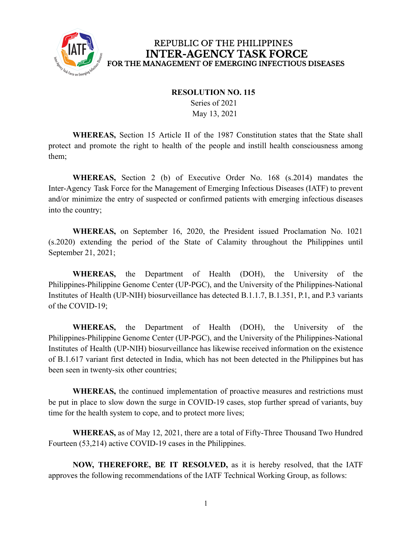

## REPUBLIC OF THE PHILIPPINES **INTER-AGENCY TASK FORCE** FOR THE MANAGEMENT OF EMERGING INFECTIOUS DISEASES

## **RESOLUTION NO. 115**

Series of 2021 May 13, 2021

**WHEREAS,** Section 15 Article II of the 1987 Constitution states that the State shall protect and promote the right to health of the people and instill health consciousness among them;

**WHEREAS,** Section 2 (b) of Executive Order No. 168 (s.2014) mandates the Inter-Agency Task Force for the Management of Emerging Infectious Diseases (IATF) to prevent and/or minimize the entry of suspected or confirmed patients with emerging infectious diseases into the country;

**WHEREAS,** on September 16, 2020, the President issued Proclamation No. 1021 (s.2020) extending the period of the State of Calamity throughout the Philippines until September 21, 2021;

**WHEREAS,** the Department of Health (DOH), the University of the Philippines-Philippine Genome Center (UP-PGC), and the University of the Philippines-National Institutes of Health (UP-NIH) biosurveillance has detected B.1.1.7, B.1.351, P.1, and P.3 variants of the COVID-19;

**WHEREAS,** the Department of Health (DOH), the University of the Philippines-Philippine Genome Center (UP-PGC), and the University of the Philippines-National Institutes of Health (UP-NIH) biosurveillance has likewise received information on the existence of B.1.617 variant first detected in India, which has not been detected in the Philippines but has been seen in twenty-six other countries;

**WHEREAS,** the continued implementation of proactive measures and restrictions must be put in place to slow down the surge in COVID-19 cases, stop further spread of variants, buy time for the health system to cope, and to protect more lives;

**WHEREAS,** as of May 12, 2021, there are a total of Fifty-Three Thousand Two Hundred Fourteen (53,214) active COVID-19 cases in the Philippines.

**NOW, THEREFORE, BE IT RESOLVED,** as it is hereby resolved, that the IATF approves the following recommendations of the IATF Technical Working Group, as follows: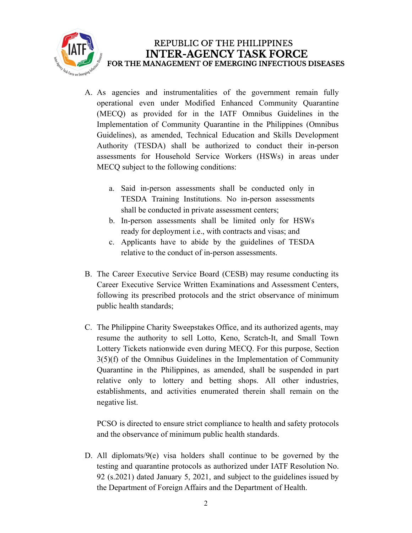

- A. As agencies and instrumentalities of the government remain fully operational even under Modified Enhanced Community Quarantine (MECQ) as provided for in the IATF Omnibus Guidelines in the Implementation of Community Quarantine in the Philippines (Omnibus Guidelines), as amended, Technical Education and Skills Development Authority (TESDA) shall be authorized to conduct their in-person assessments for Household Service Workers (HSWs) in areas under MECQ subject to the following conditions:
	- a. Said in-person assessments shall be conducted only in TESDA Training Institutions. No in-person assessments shall be conducted in private assessment centers;
	- b. In-person assessments shall be limited only for HSWs ready for deployment i.e., with contracts and visas; and
	- c. Applicants have to abide by the guidelines of TESDA relative to the conduct of in-person assessments.
- B. The Career Executive Service Board (CESB) may resume conducting its Career Executive Service Written Examinations and Assessment Centers, following its prescribed protocols and the strict observance of minimum public health standards;
- C. The Philippine Charity Sweepstakes Office, and its authorized agents, may resume the authority to sell Lotto, Keno, Scratch-It, and Small Town Lottery Tickets nationwide even during MECQ. For this purpose, Section 3(5)(f) of the Omnibus Guidelines in the Implementation of Community Quarantine in the Philippines, as amended, shall be suspended in part relative only to lottery and betting shops. All other industries, establishments, and activities enumerated therein shall remain on the negative list.

PCSO is directed to ensure strict compliance to health and safety protocols and the observance of minimum public health standards.

D. All diplomats/9(e) visa holders shall continue to be governed by the testing and quarantine protocols as authorized under IATF Resolution No. 92 (s.2021) dated January 5, 2021, and subject to the guidelines issued by the Department of Foreign Affairs and the Department of Health.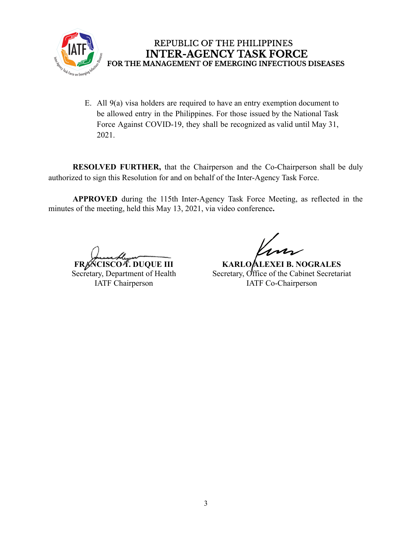

REPUBLIC OF THE PHILIPPINES **INTER-AGENCY TASK FORCE** FOR THE MANAGEMENT OF EMERGING INFECTIOUS DISEASES

E. All 9(a) visa holders are required to have an entry exemption document to be allowed entry in the Philippines. For those issued by the National Task Force Against COVID-19, they shall be recognized as valid until May 31, 2021.

**RESOLVED FURTHER,** that the Chairperson and the Co-Chairperson shall be duly authorized to sign this Resolution for and on behalf of the Inter-Agency Task Force.

**APPROVED** during the 115th Inter-Agency Task Force Meeting, as reflected in the minutes of the meeting, held this May 13, 2021, via video conference**.**

**FRANCISCO T. DUQUE III**

Secretary, Department of Health IATF Chairperson

**KARLO ALEXEI B. NOGRALES** Secretary, Office of the Cabinet Secretariat IATF Co-Chairperson